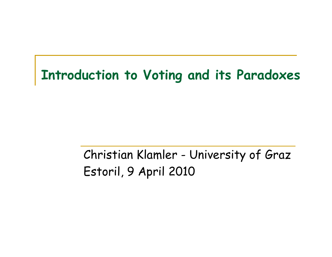#### **Introduction to Voting and its Paradoxes**

### Christian Klamler - University of Graz Estoril, 9 April 2010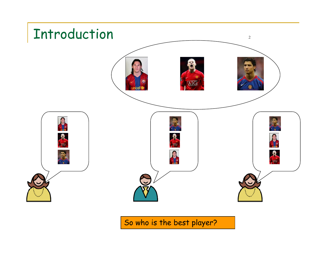

So who is the best player?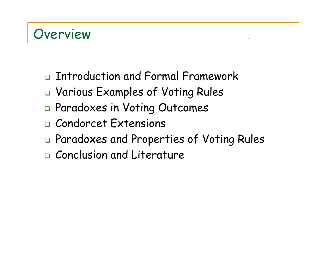#### Overview 3

- Introduction and Formal Framework
- Various Examples of Voting Rules
- Paradoxes in Voting Outcomes
- Condorcet Extensions
- Paradoxes and Properties of Voting Rules
- Conclusion and Literature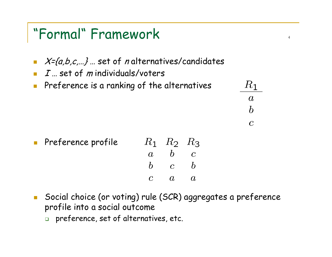#### "Formal" Framework <sup>4</sup>



 $\mathbb{R}^3$  Social choice (or voting) rule (SCR) aggregates a preference profile into a social outcome

 $\overline{c}$ 

 $\overline{a}$ 

 $\overline{a}$ 

 $\Box$  preference, set of alternatives, etc.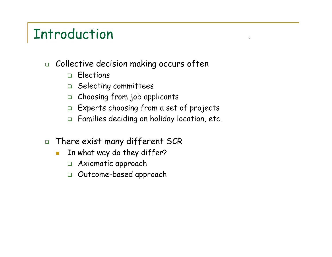#### Introduction strategy of the strategy of the strategy of the strategy of the strategy of the strategy of the s

- $\Box$  Collective decision making occurs often
	- Elections
	- $\Box$  Selecting committees
	- Choosing from job applicants
	- $\Box~$  Experts choosing from a set of projects
	- Families deciding on holiday location, etc.
- $\Box$  There exist many different SCR
	- $\overline{\phantom{a}}$  In what way do they differ?
		- Axiomatic approach
		- $\Box$ Outcome-based approach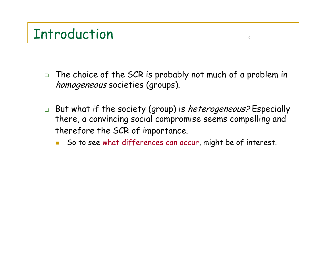### Introduction <sup>6</sup>

- $\Box$  The choice of the SCR is probably not much of a problem in homogeneous societies (groups).
- □ But what if the society (group) is *heterogeneous?* Especially there, a convincing social compromise seems compelling and therefore the SCR of importance.
	- L, So to see what differences can occur, might be of interest.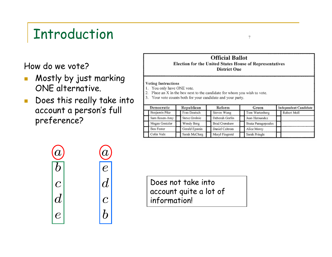# Introduction The Theorem 2012

How do we vote?

 $\bm{a}$ 

 $\boldsymbol{D}$ 

 $\boldsymbol{C}$ 

 $\boldsymbol{d}$ 

 $\mathcal C$ 

- $\overline{\mathbb{R}^n}$  Mostly by just marking ONE alternative.
- $\mathcal{L}_{\mathcal{A}}$  Does this really take into account a person's full preference?



#### **Voting Instructions**

- 1. You only have ONE vote.
- 2. Place an X in the box next to the candidate for whom you wish to vote.
- 3. Your vote counts both for your candidate and your party.

| Democratic     |  | Republican     | Reform |                | Green |                    |  | Independent Candidate |  |  |
|----------------|--|----------------|--------|----------------|-------|--------------------|--|-----------------------|--|--|
| Benjamin Pike  |  | Fran Deutsch   |        | Steven Wong    |       | Tom Wartenberg     |  | Robert Moll           |  |  |
| Sam Rosen-Amy  |  | Steve Grolnie  |        | Deborah Gorlin |       | Juan Hernandez     |  |                       |  |  |
| Megan Gentzler |  | Wendy Berg     |        | Brad Crenshaw  |       | Beata Panagopoules |  |                       |  |  |
| Ben Foster     |  | Gerald Epstein |        | Daniel Czitrom |       | Alice Morey        |  |                       |  |  |
| Colin Volz     |  | Sarah McClurg  |        | Meryl Fingrutd |       | Sarah Pringle      |  |                       |  |  |



Does not take into account quite a lot of information!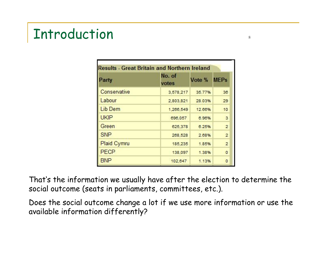# Introduction and the set of the set of the set of the set of the set of the set of the set of the set of the s

| Party              | No. of<br>votes | Vote % MEPs |                |
|--------------------|-----------------|-------------|----------------|
| Conservative       | 3,578,217       | 35.77%      | 36             |
| Labour             | 2,803,821       | 28.03%      | 29             |
| Lib Dem            | 1,266,549       | 12.66%      | 10             |
| <b>UKIP</b>        | 696,057         | 6.96%       | 3              |
| Green              | 625,378         | 6.25%       | $\overline{2}$ |
| <b>SNP</b>         | 268,528         | 2.68%       | $\overline{2}$ |
| <b>Plaid Cymru</b> | 185,235         | 1.85%       | $\overline{2}$ |
| <b>PECP</b>        | 138,097         | 1.38%       | $\circ$        |
| <b>BNP</b>         | 102,647         | 1.13%       | $\circ$        |

That's the information we usually have after the election to determine the social outcome (seats in parliaments, committees, etc.).

Does the social outcome change a lot if we use more information or use the available information differently?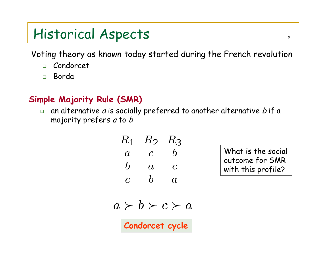### Historical Aspects <sup>9</sup>

Voting theory as known today started during the French revolution

- $\Box$ Condorcet
- $\Box$ Borda

#### **Simple Majority Rule (SMR)**

 $\Box$  $\Box$  an alternative  $a$  is socially preferred to another alternative  $b$  if a majority prefers *a* to *b* 

$$
\begin{array}{ccc}\nR_1 & R_2 & R_3 \\
a & c & b \\
b & a & c \\
c & b & a\n\end{array}
$$

What is the social outcome for SMR with this profile?

$$
a \succ b \succ c \succ a
$$

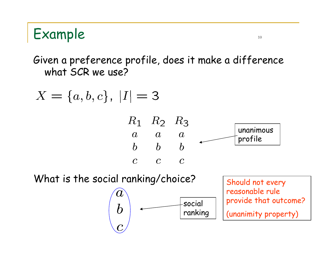### Example the set of the set of the set of the set of the set of the set of the set of the set of the set of the set of the set of the set of the set of the set of the set of the set of the set of the set of the set of the s

Given a preference profile, does it make a difference what SCR we use?

$$
X = \{a, b, c\}, |I| = 3
$$







reasonable rule provide that outcome? (unanimity property)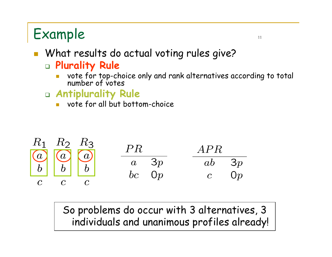# Example the state of the state of the state of the state of the state of the state of the state of the state of the state of the state of the state of the state of the state of the state of the state of the state of the st

#### What results do actual voting rules give? **Plurality Rule**

- r. vote for top-choice only and rank alternatives according to total number of votes
- **Antiplurality Rule**
	- r. vote for all but bottom-choice



So problems do occur with 3 alternatives, 3 individuals and unanimous profiles already!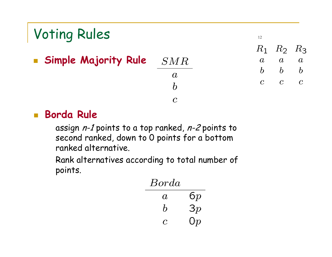#### Voting Rules and the set of the set of the set of the set of the set of the set of the set of the set of the set of the set of the set of the set of the set of the set of the set of the set of the set of the set of the set  $R_1$  $R_2$  $R_3$  **Simple Majority Rule**  $SMR$  $\overline{a}$  $\overline{a}$  $\overline{a}$  $\mathcal{C}^{\mathcal{A}}$  $b \quad b$  $\boldsymbol{b}$  $\boldsymbol{a}$  $\overline{c}$  $\mathcal{C}$  $\overline{c}$  $\bm{h}$  $\overline{C}$

#### $\mathcal{L}_{\mathcal{A}}$ **Borda Rule**

assign  $n-1$  points to a top ranked,  $n-2$  points to second ranked, down to 0 points for a bottom ranked alternative.

Rank alternatives according to total number of points.

| Borda            |               |
|------------------|---------------|
| A,               | 6p            |
| $\boldsymbol{b}$ | 3p            |
| C                | $\mathrm{O}p$ |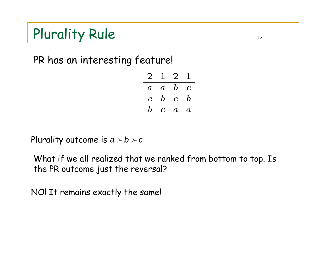# Plurality Rule 13

PR has an interesting feature!

 $2 1 2 1$  $\overline{a}$   $\overline{a}$   $\overline{b}$   $\overline{c}$  $c\,$  b  $c\,$  b  $b \quad c \quad a \quad a$ 

Plurality outcome is  $a \succ b \succ c$ 

What if we all realized that we ranked from bottom to top. Is the PR outcome just the reversal?

NO! It remains exactly the same!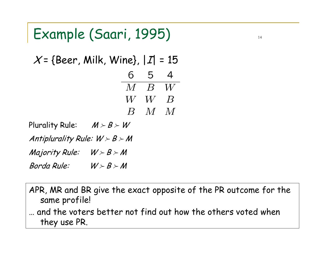### Example (Saari, 1995) The Contract of the Contract of the Contract of the Contract of the Contract of the Contract of the Contract of the Contract of the Contract of the Contract of the Contract of the Contract of the Cont

$$
X = \{ \text{Beer, Milk, Wine} \}, |I| = 15
$$
  
\n
$$
\begin{array}{r} 6 & 5 & 4 \\ \hline M & B & W \\ W & W & B \\ B & M & M \end{array}
$$

Plurality Rule:  $\mathcal{M} \succ \mathcal{B} \succ \mathcal{W}$ Antiplurality Rule:  $W \succ B \succ M$ Majority Rule:  $W \succ B \succ M$ Borda Rule:  $\succ$   $\mathcal{B}$   $\succ$   $\mathcal{M}$ 

APR, MR and BR give the exact opposite of the PR outcome for th e same profile! … and the voters better not find out how the others voted when they use PR.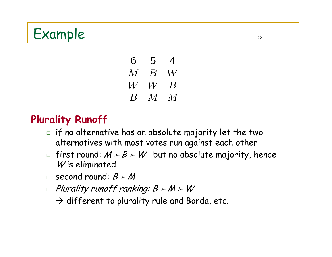#### Example the set of the set of the set of the set of the set of the set of the set of the set of the set of the set of the set of the set of the set of the set of the set of the set of the set of the set of the set of the s



#### **Plurality Runoff**

- $\textcolor{red}{\mathsf{u}}$  if no alternative has an absolute majority let the two alternatives with most votes run against each other
- $\textsf{m}\,$  first round:  $\mathcal{M} \succ \mathcal{B} \succ \mathcal{W} \;$  but no absolute majority, hence  $W$  is eliminated
- $\Box$  second round:  $\bm{\beta} \succ \bm{\mathcal{M}}$
- $\textcolor{black}{\blacksquare}$  Plurality runoff ranking: B  $\!\!> M \!\!> W$

 $\rightarrow$  different to plurality rule and Borda, etc.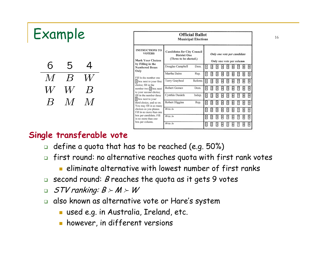| Example |   |   | <b>Official Ballot</b><br><b>Municipal Elections</b> |                                                                                                      |                                                                                     |                |        |        |                   |   |   |                                                         |        |
|---------|---|---|------------------------------------------------------|------------------------------------------------------------------------------------------------------|-------------------------------------------------------------------------------------|----------------|--------|--------|-------------------|---|---|---------------------------------------------------------|--------|
|         |   |   |                                                      | <b>INSTRUCTIONS TO</b><br><b>VOTERS</b><br>Mark Your Choices<br>by Filling in the                    | <b>Candidates for City Council</b><br><b>District One</b><br>(Three to be elected.) |                |        |        |                   |   |   | Only one vote per candidate<br>Only one vote per column |        |
|         | ხ | W |                                                      | <b>Numbered Boxes</b><br>Only                                                                        | Douglas Campbell<br>Martha Dains                                                    | Dem.<br>Rep.   | Ш<br>O | þ      |                   |   |   | 圂<br>17                                                 | Я<br>阿 |
|         |   |   |                                                      | Fill in the number one<br>[I] box next to your first<br>choice; fill in the                          | Terry Graybeal                                                                      | Reform         | ū      |        |                   |   |   | 凮                                                       | Ы      |
|         |   |   |                                                      | number two 2 box next<br>to your second choice;<br>fill in the number three                          | Robert Gomez<br>Cynthia Daniels                                                     | Dem.<br>Indep. | ī<br>▯ |        |                   |   |   | 7                                                       | 阿<br>阿 |
|         |   |   |                                                      | 3 box next to your<br>third choice, and so on.<br>You may fill in as many                            | Robert Higgins                                                                      | Rep.           | I      |        | ÞІ                |   |   | 8                                                       | 夙      |
|         |   |   |                                                      | choices as you please.<br>Fill in no more than one<br>box per candidate. Fill<br>in no more than one | Write In<br>Write In                                                                |                | Ω<br>▯ | 囨<br>þ | 圆<br>囸<br>3<br>A. | 同 | 6 | ⊠<br>8<br>7                                             | 夙<br>Ø |
|         |   |   |                                                      | box per column.                                                                                      | Write In                                                                            |                | ▯      | 2      |                   |   |   |                                                         | ğ      |

#### **Single transferable vote**

- $\Box$  define a quota that has to be reached (e.g. 50%).
- $\Box$  first round: no alternative reaches quota with first rank votes
	- b. eliminate alternative with lowest number of first ranks
- $\textcolor{red}{\bullet}$  second round:  $\textcolor{black}{\mathcal{B}}$  reaches the quota as it gets 9 votes
- $\Box$ STV ranking:  $B \succ M \succ W$
- $\Box$  also known as alternative vote or Hare's system
	- used e.g. in Australia, Ireland, etc.
	- **h** however, in different versions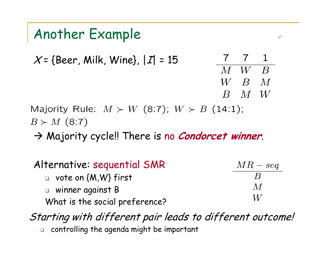### Another Example 17

7 7  $\mathbf 1$  $\mathcal{X}$ = {Beer, Milk, Wine}, | $\mathcal{I}$ | = 15  $M$   $W$  $\overline{B}$  $W_{-}$  $\,$   $B$   $\,$   $M$  $B \quad M \quad W$ 

Majority Rule:  $M \succ W$  (8:7);  $W \succ B$  (14:1);  $B \succ M$  (8:7)

 $\rightarrow$  Majority cycle!! There is no *Condorcet winner*.

| Alternative: sequential SMR    | $MR-seq$                  |
|--------------------------------|---------------------------|
| $\Box$ vote on {M,W} first     | $\boldsymbol{\mathsf{R}}$ |
| $\Box$ winner against B        | $\overline{M}$            |
| What is the social preference? | W                         |

Starting with different pair leads to different outcome!  $\Box$  $\Box$  controlling the agenda might be important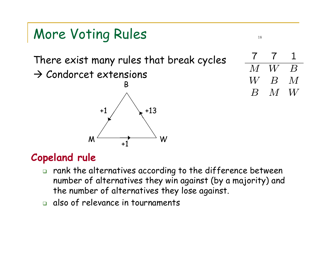# More Voting Rules And The More Voting Rules

There exist many rules that break cycles

 $\rightarrow$  Condorcet extensions



 $W$  $\overline{B}$  $M$  $W \$  $\boldsymbol{B}$  $\overline{M}$  $\overline{B}$  $M$  $W$ 

#### **Copeland rule**

- $\Box$  rank the alternatives according to the difference b etween number of alternatives they win against (by a majority) and the number of alternatives they lose against.
- $\Box$  also of relevance in tournaments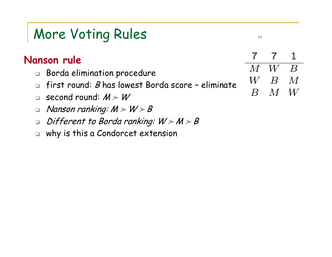# More Voting Rules with the set of the set of the set of the set of the set of the set of the set of the set of the set of the set of the set of the set of the set of the set of the set of the set of the set of the set of t

- $\Box$  Borda elimination procedure
- $\Box$ first round: B has lowest Borda score – eliminate
- $\Box$  $\Box$  second round:  $M \succ W'$
- $\Box$  $\Box$  Nanson ranking: M  $\succ$  W  $\succ$  B
- $\Box$  $\Box$  Different to Borda ranking: W  $\succ$  M  $\succ$  B
- $\Box$ why is this a Condorcet extension

 $\overline{7}$  $\mathbf 1$  $\overline{I}$  $\overline{M}$  $W_{\mathcal{N}}$  $\boldsymbol{B}$  $\,W\,$  $\vert B \vert$  $\overline{M}$  $\overline{B}$  $M$  $W$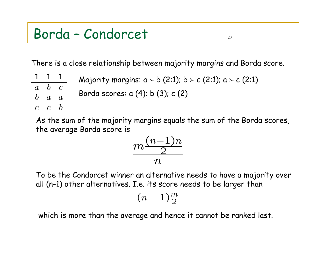#### Borda – Condorcet <sup>20</sup>

 $\mathbf{1}$ 

 $\overline{a}$ 

 $\boldsymbol{b}$ 

 $\overline{c}$ 

There is a close relationship between majority margins and Borda score.

$$
\frac{1}{\begin{array}{c}1\\b\\c\\c\end{array}}
$$
Majority margins:  $a > b$  (2:1);  $b > c$  (2:1);  $a > c$  (2:1)  

$$
\frac{a}{a}\begin{array}{c}a\\a\end{array}
$$
Borda scores:  $a$  (4);  $b$  (3);  $c$  (2)  

$$
\frac{b}{a}
$$

As the sum of the majority margins equals the sum of the Borda scores, the average Borda score is

$$
\frac{m\frac{(n-1)n}{2}}{n}
$$

To be the Condorcet winner an alternative needs to have a majority over all (n-1) other alternatives. I.e. its score needs to be larger than

$$
(n-1)\tfrac{m}{2}
$$

which is more than the average and hence it cannot be ranked last.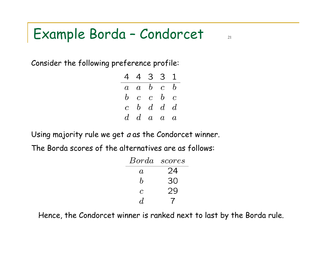### Example Borda – Condorcet <sup>21</sup>

Consider the following preference profile:

|  | 4 4 3 3 1                           |  |
|--|-------------------------------------|--|
|  | $a \quad a \quad b \quad c \quad b$ |  |
|  | $b$ c c $b$ c                       |  |
|  | $c\quad b\quad d\quad d\quad d$     |  |
|  | $d\,$ d a a a                       |  |

Using majority rule we get *a* as the Condorcet winner.

The Borda sco res of the alternatives are as follows:

| Borda            | scores |
|------------------|--------|
| $\alpha$         | 24     |
| $\boldsymbol{b}$ | 30     |
| $\mathcal C$     | 29     |
| $\boldsymbol{d}$ |        |

Hence, the Condorcet winner is ranked next to last by the Borda rule.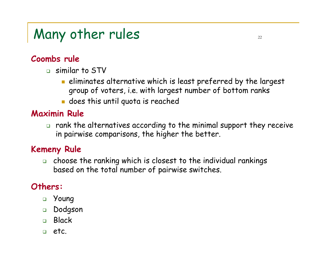# Many other rules  $22$

#### **Coombs rule**

- similar to STV
	- $\blacksquare$  eliminates alternative which is least preferred by the largest group of voters, i.e. with largest number of bottom ranks
	- $\blacksquare$  does this until quota is reached

#### **Maximin Rule**

 $\Box$  rank the alternatives according to the minimal support they receive in pairwise comparisons, the higher the better.

#### **Kemeny Rule**

 $\Box$  choose the ranking which is closest to the individual rankings based on the total number of pairwise switches.

#### **Others:**

- Young
- Dodgson
- Black
- $\Box$ etc.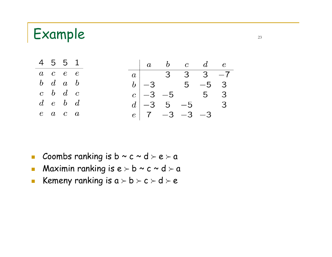#### Example 23



- $\mathcal{L}_{\mathcal{A}}$ Coombs ranking is b ~ c ~ d  $\succ$  e  $\succ$  a
- $\mathcal{L}_{\mathcal{A}}$ Maximin ranking is  $e > b ~ c ~ d > a$
- $\mathbb{R}^3$ Kemeny ranking is  $a \succ b \succ c \succ d \succ e$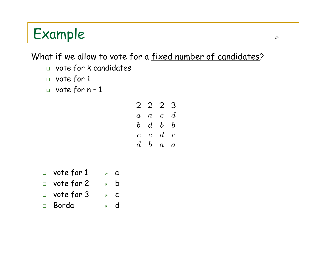# $Example$   $24$

#### What if we allow to vote for a fixed number of candidates?

- vote for k candidates
- vote for 1
- vote for n 1

| $\overline{2}$ | 2              | $\overline{2}$ | З                        |
|----------------|----------------|----------------|--------------------------|
| $\it a$        | $\overline{a}$ | $\overline{c}$ | $d\,$                    |
| b              | $d_{\cdot}$    | b              | $\boldsymbol{b}$         |
| $\overline{c}$ | $\overline{c}$ | $\,d$          | $\overline{\mathcal{C}}$ |
| d              | b              | $\overline{a}$ | $\it a$                  |

- $\hbox{\tt\hbox{$\sf u$}}$  vote for  $1\hskip2pt\to\hskip2pt\hbox{\tt\hbox{$\sf a$}}$
- $\overline{\phantom{a}}$  vote for 2  $\phantom{a}$   $\overline{\phantom{a}}$  b
- $\hbox{\tt\hbox{$\sf u$}}\,$  vote for 3  $\hbox{\tt\hbox{$\sf s$}}\,$   $\hbox{\tt\hbox{$\sf c$}}$
- Borda  $\triangleright$  d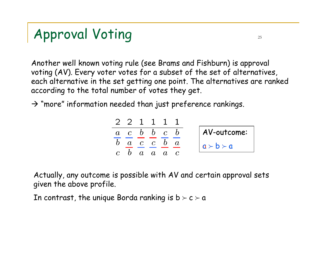# Approval Voting 25

Another well known voting rule (see Brams and Fishburn) is approval voting (AV). Every voter votes for a subset of the set of alternatives, each alternative in the set getting one point. The alternatives are ranked according to the total number of votes they get.

 $\rightarrow$  "more" information needed than just preference rankings.

$$
\begin{array}{c|ccccc}\n2 & 2 & 1 & 1 & 1 & 1 \\
\hline\na & c & b & b & c & b \\
\hline\nb & a & c & c & b & a \\
\hline\nc & b & a & a & a & c\n\end{array}\n\qquad\n\begin{array}{c|cc}\n\text{AV-outcome:} \\
\hline\na \rightarrow b \rightarrow a\n\end{array}
$$

Actually, any outcome is possible with AV and certain approval sets given the above profile.

In contrast, the unique Borda ranking is  $b \succ c \succ a$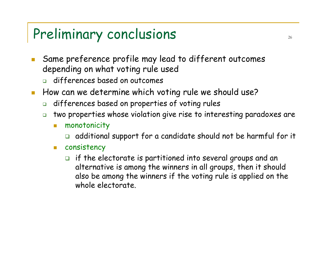### Preliminary conclusions  $26$

- Same preference profile may lead to different outcomes depending on what voting rule used
	- differences based on outcomes
- How can we determine which voting rule we should use?
	- $\Box$ differences based on properties of voting rules
	- $\Box$  two properties whose violation give rise to interesting paradoxes are
		- $\mathcal{L}_{\mathcal{A}}$  monotonicity
			- $\Box$ additional support for a candidate should not be harmful for it
		- $\mathbb{R}^n$  consistency
			- $\Box$  if the electorate is partitioned into several groups and an alternative is among the winners in all groups, then it should also be among the winners if the voting rule is applied on the whole electorate.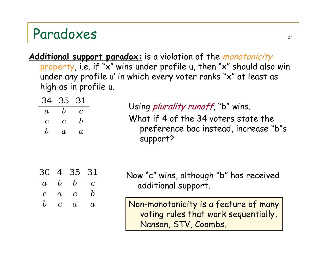#### Paradoxes 27

Additional support paradox: is a violation of the monotonicity property, i.e. if "x" wins under profile u, then "x" should also win under any profile u' in which every voter ranks "x" at least as high as in profile u.

|                  |                | 34 35 31                    |                  |                                                   |
|------------------|----------------|-----------------------------|------------------|---------------------------------------------------|
| $\overline{a}$   | $\overline{b}$ | $\overline{c}$              |                  | Using <i>plurality runoff</i> , "b" wins.         |
|                  | $c \quad c$    | $\bar{b}$                   |                  | What if 4 of the 34 voters state the              |
| $\boldsymbol{b}$ |                | $a \quad a$                 |                  | preference bac instead, increase "b"s<br>support? |
| 30.              |                | 4 35 31                     |                  | Now "c" wins, although "b" has received           |
|                  |                | $a \quad b \quad b \quad c$ |                  | additional support.                               |
| $\overline{c}$   |                | $a \quad c$                 | $\boldsymbol{b}$ |                                                   |
| $\bm{h}$         |                | $c \quad a$                 | $\overline{a}$   | Non-monotonicity is a feature of many             |

voting rules that work sequentially, Nanson, STV, Coombs.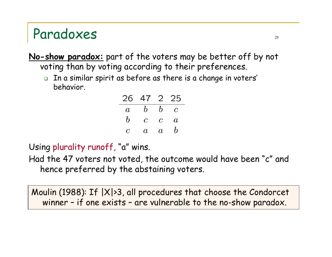#### Paradoxes and the set of the set of the set of the set of the set of the set of the set of the set of the set of the set of the set of the set of the set of the set of the set of the set of the set of the set of the set of

**No-show paradox:** part of the voters may be better off by not voting than by voting according to their preferences.

 $\textcolor{red}{\mathsf{u}}$  In a similar spirit as before as there is a change in voters' behavior.

|                  | 26 47 2 25     |                |                  |
|------------------|----------------|----------------|------------------|
| $\overline{a}$   | $\mathfrak{b}$ | $\bm{b}$       | $\mathcal{C}$    |
| $\boldsymbol{b}$ | $\overline{C}$ | $\mathcal C$   | $\it a$          |
| C                | $a \$          | $\overline{a}$ | $\boldsymbol{b}$ |

Using plurality runoff, "a" wins.

Had the 47 voters not voted, the outcome would have been "c" and hence preferred by the abstaining voters.

Moulin (1988): If |X|>3, all procedures that choose the Condorcet winner – if one exists – are vulnerable to the no-show paradox.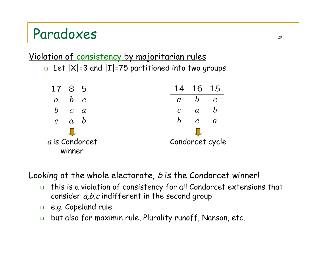#### Paradoxes 20

#### Violation of consistency by majoritarian rules

 $\textcolor{orange}\blacksquare$  Let  $\textcolor{orange}|\mathsf{X}|$ =3 and  $\textcolor{orange}|\mathsf{I}|$ =75 partitioned into two groups



Looking at the whole electorate,  $b$  is the Condorcet winner!

- $\Box$  this is a violation of consistency for all Condorcet extensions that consider  $a,b,c$  indifferent in the second group
- e.g. Copeland rule
- $\Box$ but also for maximin rule, Plurality runoff, Nanson, etc.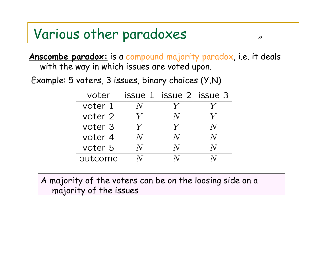### Various other paradoxes sources

**Anscombe paradox:** is a compound majority paradox, i.e. it deals with the way in which issues are voted upon.

Example: 5 voters, 3 issues, binary choices (Y,N)

| voter   |             | issue 1 issue 2 issue 3 |           |
|---------|-------------|-------------------------|-----------|
| voter 1 | $N_{\rm s}$ | $\bm{V}$                |           |
| voter 2 | $\bm{V}$    | $N_{\rm{}}$             | $\bm{V}$  |
| voter 3 | Y           | $\bm{V}$                | $N_{\rm}$ |
| voter 4 | $N_{\rm s}$ | $N_{\rm}$               | N         |
| voter 5 | TV.         |                         |           |
| outcome |             |                         |           |

A majority of the voters can be on the loosing side on a majority of the issues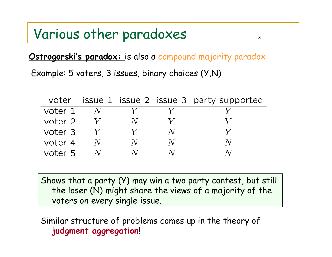#### Various other paradoxes when  $\frac{31}{31}$

**Ostrogorski's paradox:** is also a compound majority paradox Example: 5 voters, 3 issues, binary choices (Y,N)

| voter   |   |  | issue 1 issue 2 issue $3$ party supported |
|---------|---|--|-------------------------------------------|
| voter 1 |   |  |                                           |
| voter 2 |   |  |                                           |
| voter 3 |   |  |                                           |
| voter 4 | N |  |                                           |
| voter 5 |   |  |                                           |

Shows that a party (Y) may win a two party contest, but still the loser (N) might share the views of a majority of the voters on every single issue.

Similar structure of problems comes up in the theory of **judgment aggregation**!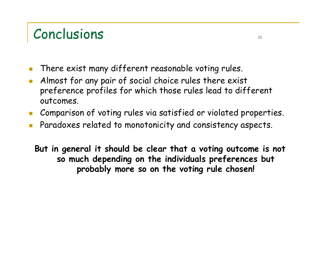### Conclusions 32

- There exist many different reasonable voting rules.
- F Almost for any pair of social choice rules there exist preference profiles for which those rules lead to different outcomes.
- **The State** Comparison of voting rules via satisfied or violated properties.
- F Paradoxes related to monotonicity and consistency aspects.

**But in general it should be clear that a voting outcome is not so much depending on the individuals preferences but probably more so on the voting rule chosen!**